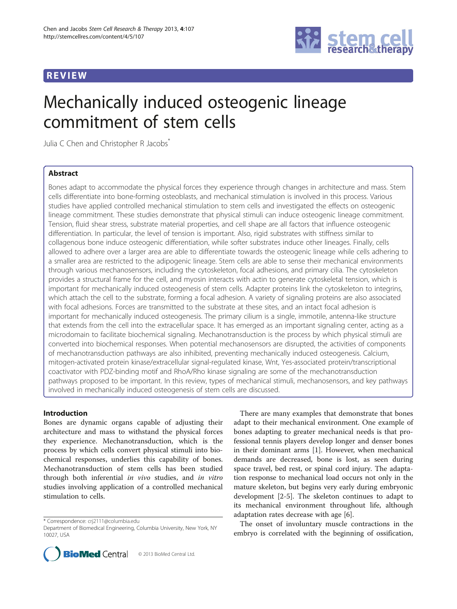# REVIEW



# Mechanically induced osteogenic lineage commitment of stem cells

Julia C Chen and Christopher R Jacobs<sup>\*</sup>

# Abstract

Bones adapt to accommodate the physical forces they experience through changes in architecture and mass. Stem cells differentiate into bone-forming osteoblasts, and mechanical stimulation is involved in this process. Various studies have applied controlled mechanical stimulation to stem cells and investigated the effects on osteogenic lineage commitment. These studies demonstrate that physical stimuli can induce osteogenic lineage commitment. Tension, fluid shear stress, substrate material properties, and cell shape are all factors that influence osteogenic differentiation. In particular, the level of tension is important. Also, rigid substrates with stiffness similar to collagenous bone induce osteogenic differentiation, while softer substrates induce other lineages. Finally, cells allowed to adhere over a larger area are able to differentiate towards the osteogenic lineage while cells adhering to a smaller area are restricted to the adipogenic lineage. Stem cells are able to sense their mechanical environments through various mechanosensors, including the cytoskeleton, focal adhesions, and primary cilia. The cytoskeleton provides a structural frame for the cell, and myosin interacts with actin to generate cytoskeletal tension, which is important for mechanically induced osteogenesis of stem cells. Adapter proteins link the cytoskeleton to integrins, which attach the cell to the substrate, forming a focal adhesion. A variety of signaling proteins are also associated with focal adhesions. Forces are transmitted to the substrate at these sites, and an intact focal adhesion is important for mechanically induced osteogenesis. The primary cilium is a single, immotile, antenna-like structure that extends from the cell into the extracellular space. It has emerged as an important signaling center, acting as a microdomain to facilitate biochemical signaling. Mechanotransduction is the process by which physical stimuli are converted into biochemical responses. When potential mechanosensors are disrupted, the activities of components of mechanotransduction pathways are also inhibited, preventing mechanically induced osteogenesis. Calcium, mitogen-activated protein kinase/extracellular signal-regulated kinase, Wnt, Yes-associated protein/transcriptional coactivator with PDZ-binding motif and RhoA/Rho kinase signaling are some of the mechanotransduction pathways proposed to be important. In this review, types of mechanical stimuli, mechanosensors, and key pathways involved in mechanically induced osteogenesis of stem cells are discussed.

# Introduction

Bones are dynamic organs capable of adjusting their architecture and mass to withstand the physical forces they experience. Mechanotransduction, which is the process by which cells convert physical stimuli into biochemical responses, underlies this capability of bones. Mechanotransduction of stem cells has been studied through both inferential in vivo studies, and in vitro studies involving application of a controlled mechanical stimulation to cells.

Department of Biomedical Engineering, Columbia University, New York, NY 10027, USA



There are many examples that demonstrate that bones adapt to their mechanical environment. One example of bones adapting to greater mechanical needs is that professional tennis players develop longer and denser bones in their dominant arms [\[1](#page-7-0)]. However, when mechanical demands are decreased, bone is lost, as seen during space travel, bed rest, or spinal cord injury. The adaptation response to mechanical load occurs not only in the mature skeleton, but begins very early during embryonic development [[2-5](#page-7-0)]. The skeleton continues to adapt to its mechanical environment throughout life, although adaptation rates decrease with age [\[6](#page-7-0)].

The onset of involuntary muscle contractions in the embryo is correlated with the beginning of ossification,

<sup>\*</sup> Correspondence: [crj2111@columbia.edu](mailto:crj2111@columbia.edu)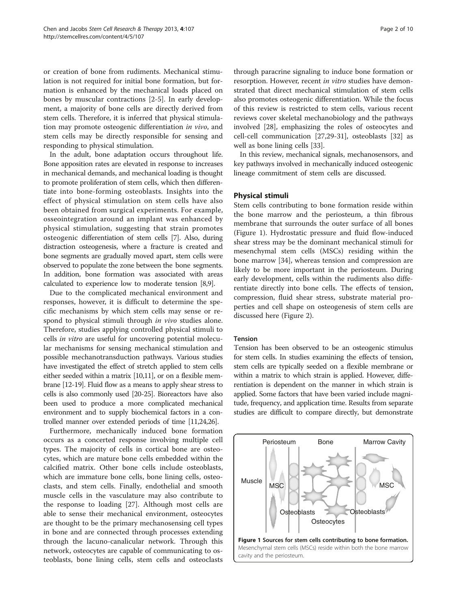or creation of bone from rudiments. Mechanical stimulation is not required for initial bone formation, but formation is enhanced by the mechanical loads placed on bones by muscular contractions [[2-5](#page-7-0)]. In early development, a majority of bone cells are directly derived from stem cells. Therefore, it is inferred that physical stimulation may promote osteogenic differentiation in vivo, and stem cells may be directly responsible for sensing and responding to physical stimulation.

In the adult, bone adaptation occurs throughout life. Bone apposition rates are elevated in response to increases in mechanical demands, and mechanical loading is thought to promote proliferation of stem cells, which then differentiate into bone-forming osteoblasts. Insights into the effect of physical stimulation on stem cells have also been obtained from surgical experiments. For example, osseointegration around an implant was enhanced by physical stimulation, suggesting that strain promotes osteogenic differentiation of stem cells [\[7\]](#page-7-0). Also, during distraction osteogenesis, where a fracture is created and bone segments are gradually moved apart, stem cells were observed to populate the zone between the bone segments. In addition, bone formation was associated with areas calculated to experience low to moderate tension [\[8,9](#page-7-0)].

Due to the complicated mechanical environment and responses, however, it is difficult to determine the specific mechanisms by which stem cells may sense or respond to physical stimuli through in vivo studies alone. Therefore, studies applying controlled physical stimuli to cells in vitro are useful for uncovering potential molecular mechanisms for sensing mechanical stimulation and possible mechanotransduction pathways. Various studies have investigated the effect of stretch applied to stem cells either seeded within a matrix [[10,11](#page-7-0)], or on a flexible membrane [\[12-19](#page-7-0)]. Fluid flow as a means to apply shear stress to cells is also commonly used [[20](#page-7-0)[-25\]](#page-8-0). Bioreactors have also been used to produce a more complicated mechanical environment and to supply biochemical factors in a controlled manner over extended periods of time [\[11,](#page-7-0)[24,26](#page-8-0)].

Furthermore, mechanically induced bone formation occurs as a concerted response involving multiple cell types. The majority of cells in cortical bone are osteocytes, which are mature bone cells embedded within the calcified matrix. Other bone cells include osteoblasts, which are immature bone cells, bone lining cells, osteoclasts, and stem cells. Finally, endothelial and smooth muscle cells in the vasculature may also contribute to the response to loading [[27](#page-8-0)]. Although most cells are able to sense their mechanical environment, osteocytes are thought to be the primary mechanosensing cell types in bone and are connected through processes extending through the lacuno-canalicular network. Through this network, osteocytes are capable of communicating to osteoblasts, bone lining cells, stem cells and osteoclasts

through paracrine signaling to induce bone formation or resorption. However, recent in vitro studies have demonstrated that direct mechanical stimulation of stem cells also promotes osteogenic differentiation. While the focus of this review is restricted to stem cells, various recent reviews cover skeletal mechanobiology and the pathways involved [[28\]](#page-8-0), emphasizing the roles of osteocytes and cell-cell communication [[27,29-31\]](#page-8-0), osteoblasts [\[32\]](#page-8-0) as well as bone lining cells [\[33\]](#page-8-0).

In this review, mechanical signals, mechanosensors, and key pathways involved in mechanically induced osteogenic lineage commitment of stem cells are discussed.

# Physical stimuli

Stem cells contributing to bone formation reside within the bone marrow and the periosteum, a thin fibrous membrane that surrounds the outer surface of all bones (Figure 1). Hydrostatic pressure and fluid flow-induced shear stress may be the dominant mechanical stimuli for mesenchymal stem cells (MSCs) residing within the bone marrow [[34\]](#page-8-0), whereas tension and compression are likely to be more important in the periosteum. During early development, cells within the rudiments also differentiate directly into bone cells. The effects of tension, compression, fluid shear stress, substrate material properties and cell shape on osteogenesis of stem cells are discussed here (Figure [2\)](#page-2-0).

#### Tension

Tension has been observed to be an osteogenic stimulus for stem cells. In studies examining the effects of tension, stem cells are typically seeded on a flexible membrane or within a matrix to which strain is applied. However, differentiation is dependent on the manner in which strain is applied. Some factors that have been varied include magnitude, frequency, and application time. Results from separate studies are difficult to compare directly, but demonstrate

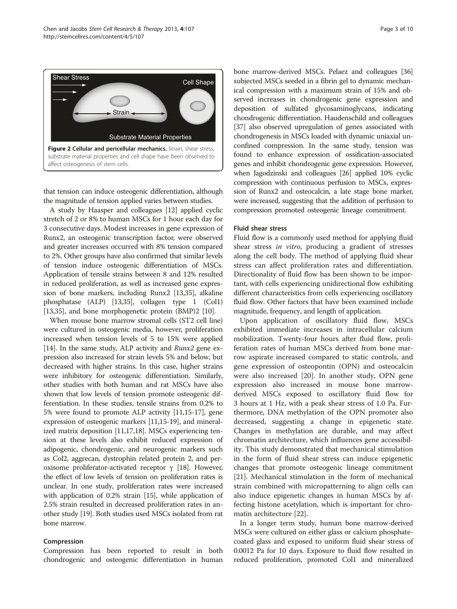<span id="page-2-0"></span>

that tension can induce osteogenic differentiation, although the magnitude of tension applied varies between studies.

A study by Haasper and colleagues [[12](#page-7-0)] applied cyclic stretch of 2 or 8% to human MSCs for 1 hour each day for 3 consecutive days. Modest increases in gene expression of Runx2, an osteogenic transcription factor, were observed and greater increases occurred with 8% tension compared to 2%. Other groups have also confirmed that similar levels of tension induce osteogenic differentiation of MSCs. Application of tensile strains between 8 and 12% resulted in reduced proliferation, as well as increased gene expression of bone markers, including Runx2 [\[13,](#page-7-0)[35](#page-8-0)], alkaline phosphatase (ALP) [[13](#page-7-0)[,35\]](#page-8-0), collagen type 1 (Col1) [[13](#page-7-0)[,35\]](#page-8-0), and bone morphogenetic protein (BMP)2 [[10](#page-7-0)].

When mouse bone marrow stromal cells (ST2 cell line) were cultured in osteogenic media, however, proliferation increased when tension levels of 5 to 15% were applied [[14](#page-7-0)]. In the same study, ALP activity and  $Runx2$  gene expression also increased for strain levels 5% and below, but decreased with higher strains. In this case, higher strains were inhibitory for osteogenic differentiation. Similarly, other studies with both human and rat MSCs have also shown that low levels of tension promote osteogenic differentiation. In these studies, tensile strains from 0.2% to 5% were found to promote ALP activity [[11,15-17](#page-7-0)], gene expression of osteogenic markers [\[11,15](#page-7-0)-[19](#page-7-0)], and mineralized matrix deposition [[11,17,18](#page-7-0)]. MSCs experiencing tension at these levels also exhibit reduced expression of adipogenic, chondrogenic, and neurogenic markers such as Col2, aggrecan, dystrophin related protein 2, and peroxisome proliferator-activated receptor  $γ$  [[18](#page-7-0)]. However, the effect of low levels of tension on proliferation rates is unclear. In one study, proliferation rates were increased with application of 0.2% strain [\[15](#page-7-0)], while application of 2.5% strain resulted in decreased proliferation rates in another study [[19](#page-7-0)]. Both studies used MSCs isolated from rat bone marrow.

#### Compression

Compression has been reported to result in both chondrogenic and osteogenic differentiation in human

bone marrow-derived MSCs. Pelaez and colleagues [[36](#page-8-0)] subjected MSCs seeded in a fibrin gel to dynamic mechanical compression with a maximum strain of 15% and observed increases in chondrogenic gene expression and deposition of sulfated glycosaminoglycans, indicating chondrogenic differentiation. Haudenschild and colleagues [[37](#page-8-0)] also observed upregulation of genes associated with chondrogenesis in MSCs loaded with dynamic uniaxial unconfined compression. In the same study, tension was found to enhance expression of ossification-associated genes and inhibit chondrogenic gene expression. However, when Jagodzinski and colleagues [[26](#page-8-0)] applied 10% cyclic compression with continuous perfusion to MSCs, expression of Runx2 and osteocalcin, a late stage bone marker, were increased, suggesting that the addition of perfusion to compression promoted osteogenic lineage commitment.

#### Fluid shear stress

Fluid flow is a commonly used method for applying fluid shear stress in vitro, producing a gradient of stresses along the cell body. The method of applying fluid shear stress can affect proliferation rates and differentiation. Directionality of fluid flow has been shown to be important, with cells experiencing unidirectional flow exhibiting different characteristics from cells experiencing oscillatory fluid flow. Other factors that have been examined include magnitude, frequency, and length of application.

Upon application of oscillatory fluid flow, MSCs exhibited immediate increases in intracellular calcium mobilization. Twenty-four hours after fluid flow, proliferation rates of human MSCs derived from bone marrow aspirate increased compared to static controls, and gene expression of osteopontin (OPN) and osteocalcin were also increased [[20\]](#page-7-0). In another study, OPN gene expression also increased in mouse bone marrowderived MSCs exposed to oscillatory fluid flow for 3 hours at 1 Hz, with a peak shear stress of 1.0 Pa. Furthermore, DNA methylation of the OPN promoter also decreased, suggesting a change in epigenetic state. Changes in methylation are durable, and may affect chromatin architecture, which influences gene accessibility. This study demonstrated that mechanical stimulation in the form of fluid shear stress can induce epigenetic changes that promote osteogenic lineage commitment [[21\]](#page-8-0). Mechanical stimulation in the form of mechanical strain combined with micropatterning to align cells can also induce epigenetic changes in human MSCs by affecting histone acetylation, which is important for chromatin architecture [\[22](#page-8-0)].

In a longer term study, human bone marrow-derived MSCs were cultured on either glass or calcium phosphatecoated glass and exposed to uniform fluid shear stress of 0.0012 Pa for 10 days. Exposure to fluid flow resulted in reduced proliferation, promoted Col1 and mineralized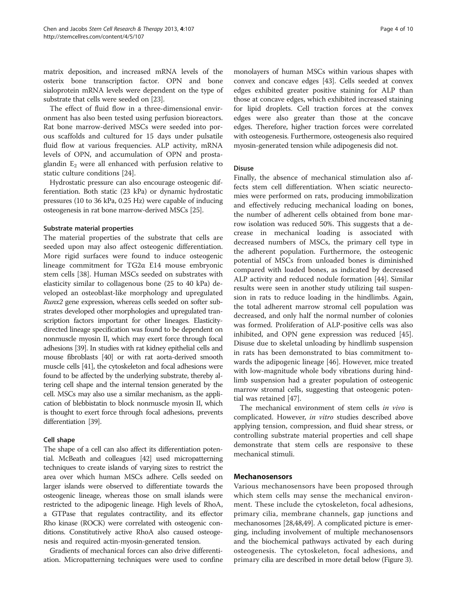matrix deposition, and increased mRNA levels of the osterix bone transcription factor. OPN and bone sialoprotein mRNA levels were dependent on the type of substrate that cells were seeded on [[23](#page-8-0)].

The effect of fluid flow in a three-dimensional environment has also been tested using perfusion bioreactors. Rat bone marrow-derived MSCs were seeded into porous scaffolds and cultured for 15 days under pulsatile fluid flow at various frequencies. ALP activity, mRNA levels of OPN, and accumulation of OPN and prostaglandin  $E_2$  were all enhanced with perfusion relative to static culture conditions [[24\]](#page-8-0).

Hydrostatic pressure can also encourage osteogenic differentiation. Both static (23 kPa) or dynamic hydrostatic pressures (10 to 36 kPa, 0.25 Hz) were capable of inducing osteogenesis in rat bone marrow-derived MSCs [[25](#page-8-0)].

# Substrate material properties

The material properties of the substrate that cells are seeded upon may also affect osteogenic differentiation. More rigid surfaces were found to induce osteogenic lineage commitment for TG2α E14 mouse embryonic stem cells [[38](#page-8-0)]. Human MSCs seeded on substrates with elasticity similar to collagenous bone (25 to 40 kPa) developed an osteoblast-like morphology and upregulated Runx2 gene expression, whereas cells seeded on softer substrates developed other morphologies and upregulated transcription factors important for other lineages. Elasticitydirected lineage specification was found to be dependent on nonmuscle myosin II, which may exert force through focal adhesions [\[39\]](#page-8-0). In studies with rat kidney epithelial cells and mouse fibroblasts [[40\]](#page-8-0) or with rat aorta-derived smooth muscle cells [\[41\]](#page-8-0), the cytoskeleton and focal adhesions were found to be affected by the underlying substrate, thereby altering cell shape and the internal tension generated by the cell. MSCs may also use a similar mechanism, as the application of blebbistatin to block nonmuscle myosin II, which is thought to exert force through focal adhesions, prevents differentiation [\[39](#page-8-0)].

#### Cell shape

The shape of a cell can also affect its differentiation potential. McBeath and colleagues [\[42\]](#page-8-0) used micropatterning techniques to create islands of varying sizes to restrict the area over which human MSCs adhere. Cells seeded on larger islands were observed to differentiate towards the osteogenic lineage, whereas those on small islands were restricted to the adipogenic lineage. High levels of RhoA, a GTPase that regulates contractility, and its effector Rho kinase (ROCK) were correlated with osteogenic conditions. Constitutively active RhoA also caused osteogenesis and required actin-myosin-generated tension.

Gradients of mechanical forces can also drive differentiation. Micropatterning techniques were used to confine monolayers of human MSCs within various shapes with convex and concave edges [\[43\]](#page-8-0). Cells seeded at convex edges exhibited greater positive staining for ALP than those at concave edges, which exhibited increased staining for lipid droplets. Cell traction forces at the convex edges were also greater than those at the concave edges. Therefore, higher traction forces were correlated with osteogenesis. Furthermore, osteogenesis also required myosin-generated tension while adipogenesis did not.

#### Disuse

Finally, the absence of mechanical stimulation also affects stem cell differentiation. When sciatic neurectomies were performed on rats, producing immobilization and effectively reducing mechanical loading on bones, the number of adherent cells obtained from bone marrow isolation was reduced 50%. This suggests that a decrease in mechanical loading is associated with decreased numbers of MSCs, the primary cell type in the adherent population. Furthermore, the osteogenic potential of MSCs from unloaded bones is diminished compared with loaded bones, as indicated by decreased ALP activity and reduced nodule formation [\[44\]](#page-8-0). Similar results were seen in another study utilizing tail suspension in rats to reduce loading in the hindlimbs. Again, the total adherent marrow stromal cell population was decreased, and only half the normal number of colonies was formed. Proliferation of ALP-positive cells was also inhibited, and OPN gene expression was reduced [\[45](#page-8-0)]. Disuse due to skeletal unloading by hindlimb suspension in rats has been demonstrated to bias commitment towards the adipogenic lineage [[46\]](#page-8-0). However, mice treated with low-magnitude whole body vibrations during hindlimb suspension had a greater population of osteogenic marrow stromal cells, suggesting that osteogenic potential was retained [[47\]](#page-8-0).

The mechanical environment of stem cells in vivo is complicated. However, in vitro studies described above applying tension, compression, and fluid shear stress, or controlling substrate material properties and cell shape demonstrate that stem cells are responsive to these mechanical stimuli.

#### Mechanosensors

Various mechanosensors have been proposed through which stem cells may sense the mechanical environment. These include the cytoskeleton, focal adhesions, primary cilia, membrane channels, gap junctions and mechanosomes [\[28,48,49](#page-8-0)]. A complicated picture is emerging, including involvement of multiple mechanosensors and the biochemical pathways activated by each during osteogenesis. The cytoskeleton, focal adhesions, and primary cilia are described in more detail below (Figure [3\)](#page-4-0).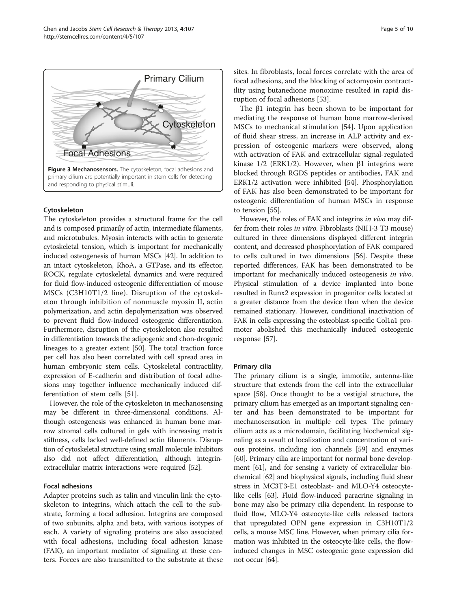<span id="page-4-0"></span>

#### Cytoskeleton

The cytoskeleton provides a structural frame for the cell and is composed primarily of actin, intermediate filaments, and microtubules. Myosin interacts with actin to generate cytoskeletal tension, which is important for mechanically induced osteogenesis of human MSCs [[42](#page-8-0)]. In addition to an intact cytoskeleton, RhoA, a GTPase, and its effector, ROCK, regulate cytoskeletal dynamics and were required for fluid flow-induced osteogenic differentiation of mouse MSCs (C3H10T1/2 line). Disruption of the cytoskeleton through inhibition of nonmuscle myosin II, actin polymerization, and actin depolymerization was observed to prevent fluid flow-induced osteogenic differentiation. Furthermore, disruption of the cytoskeleton also resulted in differentiation towards the adipogenic and chon-drogenic lineages to a greater extent [\[50](#page-8-0)]. The total traction force per cell has also been correlated with cell spread area in human embryonic stem cells. Cytoskeletal contractility, expression of E-cadherin and distribution of focal adhesions may together influence mechanically induced differentiation of stem cells [[51](#page-8-0)].

However, the role of the cytoskeleton in mechanosensing may be different in three-dimensional conditions. Although osteogenesis was enhanced in human bone marrow stromal cells cultured in gels with increasing matrix stiffness, cells lacked well-defined actin filaments. Disruption of cytoskeletal structure using small molecule inhibitors also did not affect differentiation, although integrinextracellular matrix interactions were required [[52](#page-8-0)].

#### Focal adhesions

Adapter proteins such as talin and vinculin link the cytoskeleton to integrins, which attach the cell to the substrate, forming a focal adhesion. Integrins are composed of two subunits, alpha and beta, with various isotypes of each. A variety of signaling proteins are also associated with focal adhesions, including focal adhesion kinase (FAK), an important mediator of signaling at these centers. Forces are also transmitted to the substrate at these

sites. In fibroblasts, local forces correlate with the area of focal adhesions, and the blocking of actomyosin contractility using butanedione monoxime resulted in rapid disruption of focal adhesions [\[53](#page-8-0)].

The β1 integrin has been shown to be important for mediating the response of human bone marrow-derived MSCs to mechanical stimulation [\[54\]](#page-8-0). Upon application of fluid shear stress, an increase in ALP activity and expression of osteogenic markers were observed, along with activation of FAK and extracellular signal-regulated kinase  $1/2$  (ERK1/2). However, when β1 integrins were blocked through RGDS peptides or antibodies, FAK and ERK1/2 activation were inhibited [\[54](#page-8-0)]. Phosphorylation of FAK has also been demonstrated to be important for osteogenic differentiation of human MSCs in response to tension [[55\]](#page-8-0).

However, the roles of FAK and integrins in vivo may differ from their roles in vitro. Fibroblasts (NIH-3 T3 mouse) cultured in three dimensions displayed different integrin content, and decreased phosphorylation of FAK compared to cells cultured in two dimensions [[56](#page-8-0)]. Despite these reported differences, FAK has been demonstrated to be important for mechanically induced osteogenesis in vivo. Physical stimulation of a device implanted into bone resulted in Runx2 expression in progenitor cells located at a greater distance from the device than when the device remained stationary. However, conditional inactivation of FAK in cells expressing the osteoblast-specific Col1a1 promoter abolished this mechanically induced osteogenic response [[57](#page-8-0)].

#### Primary cilia

The primary cilium is a single, immotile, antenna-like structure that extends from the cell into the extracellular space [[58](#page-8-0)]. Once thought to be a vestigial structure, the primary cilium has emerged as an important signaling center and has been demonstrated to be important for mechanosensation in multiple cell types. The primary cilium acts as a microdomain, facilitating biochemical signaling as a result of localization and concentration of various proteins, including ion channels [[59](#page-8-0)] and enzymes [[60](#page-8-0)]. Primary cilia are important for normal bone development [[61](#page-8-0)], and for sensing a variety of extracellular biochemical [[62](#page-8-0)] and biophysical signals, including fluid shear stress in MC3T3-E1 osteoblast- and MLO-Y4 osteocytelike cells [\[63\]](#page-8-0). Fluid flow-induced paracrine signaling in bone may also be primary cilia dependent. In response to fluid flow, MLO-Y4 osteocyte-like cells released factors that upregulated OPN gene expression in C3H10T1/2 cells, a mouse MSC line. However, when primary cilia formation was inhibited in the osteocyte-like cells, the flowinduced changes in MSC osteogenic gene expression did not occur [[64](#page-8-0)].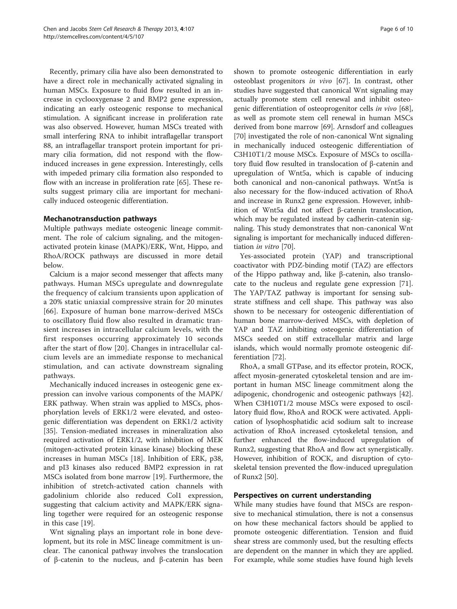Recently, primary cilia have also been demonstrated to have a direct role in mechanically activated signaling in human MSCs. Exposure to fluid flow resulted in an increase in cyclooxygenase 2 and BMP2 gene expression, indicating an early osteogenic response to mechanical stimulation. A significant increase in proliferation rate was also observed. However, human MSCs treated with small interfering RNA to inhibit intraflagellar transport 88, an intraflagellar transport protein important for primary cilia formation, did not respond with the flowinduced increases in gene expression. Interestingly, cells with impeded primary cilia formation also responded to flow with an increase in proliferation rate [\[65](#page-8-0)]. These results suggest primary cilia are important for mechanically induced osteogenic differentiation.

# Mechanotransduction pathways

Multiple pathways mediate osteogenic lineage commitment. The role of calcium signaling, and the mitogenactivated protein kinase (MAPK)/ERK, Wnt, Hippo, and RhoA/ROCK pathways are discussed in more detail below.

Calcium is a major second messenger that affects many pathways. Human MSCs upregulate and downregulate the frequency of calcium transients upon application of a 20% static uniaxial compressive strain for 20 minutes [[66](#page-8-0)]. Exposure of human bone marrow-derived MSCs to oscillatory fluid flow also resulted in dramatic transient increases in intracellular calcium levels, with the first responses occurring approximately 10 seconds after the start of flow [\[20\]](#page-7-0). Changes in intracellular calcium levels are an immediate response to mechanical stimulation, and can activate downstream signaling pathways.

Mechanically induced increases in osteogenic gene expression can involve various components of the MAPK/ ERK pathway. When strain was applied to MSCs, phosphorylation levels of ERK1/2 were elevated, and osteogenic differentiation was dependent on ERK1/2 activity [[35\]](#page-8-0). Tension-mediated increases in mineralization also required activation of ERK1/2, with inhibition of MEK (mitogen-activated protein kinase kinase) blocking these increases in human MSCs [[18](#page-7-0)]. Inhibition of ERK, p38, and pI3 kinases also reduced BMP2 expression in rat MSCs isolated from bone marrow [\[19](#page-7-0)]. Furthermore, the inhibition of stretch-activated cation channels with gadolinium chloride also reduced Col1 expression, suggesting that calcium activity and MAPK/ERK signaling together were required for an osteogenic response in this case [[19](#page-7-0)].

Wnt signaling plays an important role in bone development, but its role in MSC lineage commitment is unclear. The canonical pathway involves the translocation of β-catenin to the nucleus, and β-catenin has been

shown to promote osteogenic differentiation in early osteoblast progenitors in vivo [\[67](#page-8-0)]. In contrast, other studies have suggested that canonical Wnt signaling may actually promote stem cell renewal and inhibit osteogenic differentiation of osteoprogenitor cells in vivo [\[68](#page-8-0)], as well as promote stem cell renewal in human MSCs derived from bone marrow [\[69](#page-9-0)]. Arnsdorf and colleagues [[70\]](#page-9-0) investigated the role of non-canonical Wnt signaling in mechanically induced osteogenic differentiation of C3H10T1/2 mouse MSCs. Exposure of MSCs to oscillatory fluid flow resulted in translocation of β-catenin and upregulation of Wnt5a, which is capable of inducing both canonical and non-canonical pathways. Wnt5a is also necessary for the flow-induced activation of RhoA and increase in Runx2 gene expression. However, inhibition of Wnt5a did not affect β-catenin translocation, which may be regulated instead by cadherin-catenin signaling. This study demonstrates that non-canonical Wnt signaling is important for mechanically induced differentiation in vitro [[70\]](#page-9-0).

Yes-associated protein (YAP) and transcriptional coactivator with PDZ-binding motif (TAZ) are effectors of the Hippo pathway and, like β-catenin, also translocate to the nucleus and regulate gene expression [\[71](#page-9-0)]. The YAP/TAZ pathway is important for sensing substrate stiffness and cell shape. This pathway was also shown to be necessary for osteogenic differentiation of human bone marrow-derived MSCs, with depletion of YAP and TAZ inhibiting osteogenic differentiation of MSCs seeded on stiff extracellular matrix and large islands, which would normally promote osteogenic differentiation [[72\]](#page-9-0).

RhoA, a small GTPase, and its effector protein, ROCK, affect myosin-generated cytoskeletal tension and are important in human MSC lineage commitment along the adipogenic, chondrogenic and osteogenic pathways [\[42](#page-8-0)]. When C3H10T1/2 mouse MSCs were exposed to oscillatory fluid flow, RhoA and ROCK were activated. Application of lysophosphatidic acid sodium salt to increase activation of RhoA increased cytoskeletal tension, and further enhanced the flow-induced upregulation of Runx2, suggesting that RhoA and flow act synergistically. However, inhibition of ROCK, and disruption of cytoskeletal tension prevented the flow-induced upregulation of Runx2 [[50](#page-8-0)].

# Perspectives on current understanding

While many studies have found that MSCs are responsive to mechanical stimulation, there is not a consensus on how these mechanical factors should be applied to promote osteogenic differentiation. Tension and fluid shear stress are commonly used, but the resulting effects are dependent on the manner in which they are applied. For example, while some studies have found high levels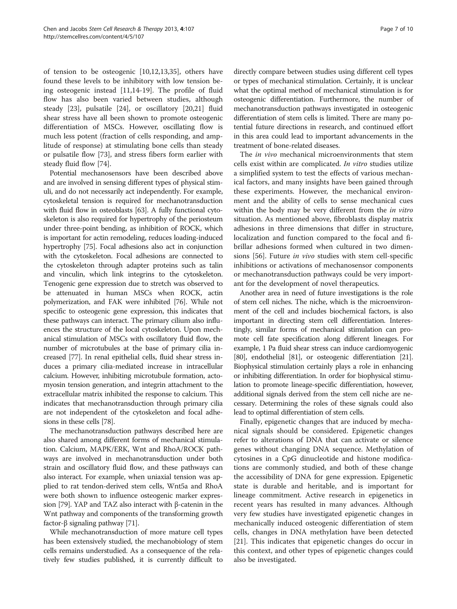of tension to be osteogenic [\[10,12,13,](#page-7-0)[35\]](#page-8-0), others have found these levels to be inhibitory with low tension being osteogenic instead [\[11,14-19](#page-7-0)]. The profile of fluid flow has also been varied between studies, although steady [\[23\]](#page-8-0), pulsatile [[24\]](#page-8-0), or oscillatory [\[20](#page-7-0)[,21](#page-8-0)] fluid shear stress have all been shown to promote osteogenic differentiation of MSCs. However, oscillating flow is much less potent (fraction of cells responding, and amplitude of response) at stimulating bone cells than steady or pulsatile flow [[73](#page-9-0)], and stress fibers form earlier with steady fluid flow [[74\]](#page-9-0).

Potential mechanosensors have been described above and are involved in sensing different types of physical stimuli, and do not necessarily act independently. For example, cytoskeletal tension is required for mechanotransduction with fluid flow in osteoblasts [\[63\]](#page-8-0). A fully functional cytoskeleton is also required for hypertrophy of the periosteum under three-point bending, as inhibition of ROCK, which is important for actin remodeling, reduces loading-induced hypertrophy [[75](#page-9-0)]. Focal adhesions also act in conjunction with the cytoskeleton. Focal adhesions are connected to the cytoskeleton through adapter proteins such as talin and vinculin, which link integrins to the cytoskeleton. Tenogenic gene expression due to stretch was observed to be attenuated in human MSCs when ROCK, actin polymerization, and FAK were inhibited [\[76](#page-9-0)]. While not specific to osteogenic gene expression, this indicates that these pathways can interact. The primary cilium also influences the structure of the local cytoskeleton. Upon mechanical stimulation of MSCs with oscillatory fluid flow, the number of microtubules at the base of primary cilia increased [[77](#page-9-0)]. In renal epithelial cells, fluid shear stress induces a primary cilia-mediated increase in intracellular calcium. However, inhibiting microtubule formation, actomyosin tension generation, and integrin attachment to the extracellular matrix inhibited the response to calcium. This indicates that mechanotransduction through primary cilia are not independent of the cytoskeleton and focal adhesions in these cells [\[78\]](#page-9-0).

The mechanotransduction pathways described here are also shared among different forms of mechanical stimulation. Calcium, MAPK/ERK, Wnt and RhoA/ROCK pathways are involved in mechanotransduction under both strain and oscillatory fluid flow, and these pathways can also interact. For example, when uniaxial tension was applied to rat tendon-derived stem cells, Wnt5a and RhoA were both shown to influence osteogenic marker expres-sion [\[79](#page-9-0)]. YAP and TAZ also interact with β-catenin in the Wnt pathway and components of the transforming growth factor-β signaling pathway [[71](#page-9-0)].

While mechanotransduction of more mature cell types has been extensively studied, the mechanobiology of stem cells remains understudied. As a consequence of the relatively few studies published, it is currently difficult to

directly compare between studies using different cell types or types of mechanical stimulation. Certainly, it is unclear what the optimal method of mechanical stimulation is for osteogenic differentiation. Furthermore, the number of mechanotransduction pathways investigated in osteogenic differentiation of stem cells is limited. There are many potential future directions in research, and continued effort in this area could lead to important advancements in the treatment of bone-related diseases.

The *in vivo* mechanical microenvironments that stem cells exist within are complicated. In vitro studies utilize a simplified system to test the effects of various mechanical factors, and many insights have been gained through these experiments. However, the mechanical environment and the ability of cells to sense mechanical cues within the body may be very different from the *in vitro* situation. As mentioned above, fibroblasts display matrix adhesions in three dimensions that differ in structure, localization and function compared to the focal and fibrillar adhesions formed when cultured in two dimensions [\[56](#page-8-0)]. Future in vivo studies with stem cell-specific inhibitions or activations of mechanosensor components or mechanotransduction pathways could be very important for the development of novel therapeutics.

Another area in need of future investigations is the role of stem cell niches. The niche, which is the microenvironment of the cell and includes biochemical factors, is also important in directing stem cell differentiation. Interestingly, similar forms of mechanical stimulation can promote cell fate specification along different lineages. For example, 1 Pa fluid shear stress can induce cardiomyogenic [[80](#page-9-0)], endothelial [\[81\]](#page-9-0), or osteogenic differentiation [\[21](#page-8-0)]. Biophysical stimulation certainly plays a role in enhancing or inhibiting differentiation. In order for biophysical stimulation to promote lineage-specific differentiation, however, additional signals derived from the stem cell niche are necessary. Determining the roles of these signals could also lead to optimal differentiation of stem cells.

Finally, epigenetic changes that are induced by mechanical signals should be considered. Epigenetic changes refer to alterations of DNA that can activate or silence genes without changing DNA sequence. Methylation of cytosines in a CpG dinucleotide and histone modifications are commonly studied, and both of these change the accessibility of DNA for gene expression. Epigenetic state is durable and heritable, and is important for lineage commitment. Active research in epigenetics in recent years has resulted in many advances. Although very few studies have investigated epigenetic changes in mechanically induced osteogenic differentiation of stem cells, changes in DNA methylation have been detected [[21\]](#page-8-0). This indicates that epigenetic changes do occur in this context, and other types of epigenetic changes could also be investigated.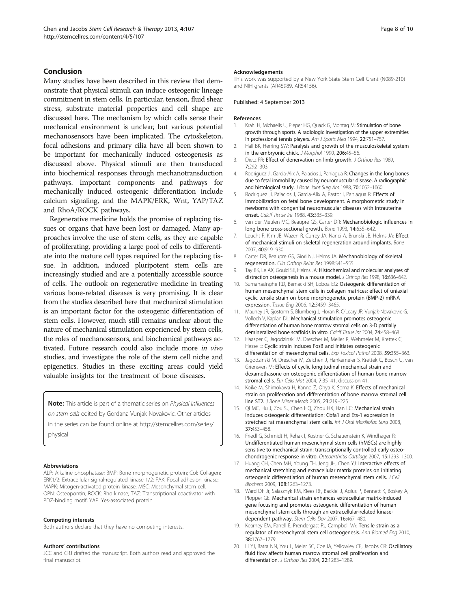# <span id="page-7-0"></span>Conclusion

Many studies have been described in this review that demonstrate that physical stimuli can induce osteogenic lineage commitment in stem cells. In particular, tension, fluid shear stress, substrate material properties and cell shape are discussed here. The mechanism by which cells sense their mechanical environment is unclear, but various potential mechanosensors have been implicated. The cytoskeleton, focal adhesions and primary cilia have all been shown to be important for mechanically induced osteogenesis as discussed above. Physical stimuli are then transduced into biochemical responses through mechanotransduction pathways. Important components and pathways for mechanically induced osteogenic differentiation include calcium signaling, and the MAPK/ERK, Wnt, YAP/TAZ and RhoA/ROCK pathways.

Regenerative medicine holds the promise of replacing tissues or organs that have been lost or damaged. Many approaches involve the use of stem cells, as they are capable of proliferating, providing a large pool of cells to differentiate into the mature cell types required for the replacing tissue. In addition, induced pluripotent stem cells are increasingly studied and are a potentially accessible source of cells. The outlook on regenerative medicine in treating various bone-related diseases is very promising. It is clear from the studies described here that mechanical stimulation is an important factor for the osteogenic differentiation of stem cells. However, much still remains unclear about the nature of mechanical stimulation experienced by stem cells, the roles of mechanosensors, and biochemical pathways activated. Future research could also include more in vivo studies, and investigate the role of the stem cell niche and epigenetics. Studies in these exciting areas could yield valuable insights for the treatment of bone diseases.

Note: This article is part of a thematic series on *Physical influences* on stem cells edited by Gordana Vunjak-Novakovic. Other articles in the series can be found online at http://stemcellres.com/series/ physical

#### Abbreviations

ALP: Alkaline phosphatase; BMP: Bone morphogenetic protein; Col: Collagen; ERK1/2: Extracellular signal-regulated kinase 1/2; FAK: Focal adhesion kinase; MAPK: Mitogen-activated protein kinase; MSC: Mesenchymal stem cell; OPN: Osteopontin; ROCK: Rho kinase; TAZ: Transcriptional coactivator with PDZ-binding motif; YAP: Yes-associated protein.

#### Competing interests

Both authors declare that they have no competing interests.

#### Authors' contributions

JCC and CRJ drafted the manuscript. Both authors read and approved the final manuscript.

#### Acknowledgements

This work was supported by a New York State Stem Cell Grant (N089-210) and NIH grants (AR45989, AR54156).

#### Published: 4 September 2013

#### References

- 1. Krahl H, Michaelis U, Pieper HG, Quack G, Montag M: Stimulation of bone growth through sports. A radiologic investigation of the upper extremities in professional tennis players. Am J Sports Med 1994, 22:751-757.
- 2. Hall BK, Herring SW: Paralysis and growth of the musculoskeletal system in the embryonic chick. *J Morphol* 1990, 206:45-56.
- 3. Dietz FR: Effect of denervation on limb growth. J Orthop Res 1989, 7:292–303.
- 4. Rodriguez JI, Garcia-Alix A, Palacios J, Paniagua R: Changes in the long bones due to fetal immobility caused by neuromuscular disease. A radiographic and histological study. J Bone Joint Surg Am 1988, 70:1052-1060.
- 5. Rodriguez JI, Palacios J, Garcia-Alix A, Pastor I, Paniagua R: Effects of immobilization on fetal bone development. A morphometric study in newborns with congenital neuromuscular diseases with intrauterine onset. Calcif Tissue Int 1988, 43:335–339.
- 6. van der Meulen MC, Beaupre GS, Carter DR: Mechanobiologic influences in long bone cross-sectional growth. Bone 1993, 14:635–642.
- 7. Leucht P, Kim JB, Wazen R, Currey JA, Nanci A, Brunski JB, Helms JA: Effect of mechanical stimuli on skeletal regeneration around implants. Bone 2007, 40:919–930.
- 8. Carter DR, Beaupre GS, Giori NJ, Helms JA: Mechanobiology of skeletal regeneration. Clin Orthop Relat Res 1998:S41–S55.
- 9. Tay BK, Le AX, Gould SE, Helms JA: Histochemical and molecular analyses of distraction osteogenesis in a mouse model. J Orthop Res 1998, 16:636–642.
- 10. Sumanasinghe RD, Bernacki SH, Loboa EG: Osteogenic differentiation of human mesenchymal stem cells in collagen matrices: effect of uniaxial cyclic tensile strain on bone morphogenetic protein (BMP-2) mRNA expression. Tissue Eng 2006, 12:3459–3465.
- 11. Mauney JR, Sjostorm S, Blumberg J, Horan R, O'Leary JP, Vunjak-Novakovic G, Volloch V, Kaplan DL: Mechanical stimulation promotes osteogenic differentiation of human bone marrow stromal cells on 3-D partially demineralized bone scaffolds in vitro. Calcif Tissue Int 2004, 74:458-468.
- 12. Haasper C, Jagodzinski M, Drescher M, Meller R, Wehmeier M, Krettek C, Hesse E: Cyclic strain induces FosB and initiates osteogenic differentiation of mesenchymal cells. Exp Toxicol Pathol 2008, 59:355-363.
- 13. Jagodzinski M, Drescher M, Zeichen J, Hankemeier S, Krettek C, Bosch U, van Griensven M: Effects of cyclic longitudinal mechanical strain and dexamethasone on osteogenic differentiation of human bone marrow stromal cells. Eur Cells Mat 2004, 7:35–41. discussion 41.
- 14. Koike M, Shimokawa H, Kanno Z, Ohya K, Soma K: Effects of mechanical strain on proliferation and differentiation of bone marrow stromal cell line ST2. J Bone Miner Metab 2005, 23:219–225.
- 15. Qi MC, Hu J, Zou SJ, Chen HQ, Zhou HX, Han LC: Mechanical strain induces osteogenic differentiation: Cbfa1 and Ets-1 expression in stretched rat mesenchymal stem cells. Int J Oral Maxillofac Surg 2008, 37:453–458.
- 16. Friedl G, Schmidt H, Rehak I, Kostner G, Schauenstein K, Windhager R: Undifferentiated human mesenchymal stem cells (hMSCs) are highly sensitive to mechanical strain: transcriptionally controlled early osteochondrogenic response in vitro. Osteoarthritis Cartilage 2007, 15:1293–1300.
- 17. Huang CH, Chen MH, Young TH, Jeng JH, Chen YJ: Interactive effects of mechanical stretching and extracellular matrix proteins on initiating osteogenic differentiation of human mesenchymal stem cells. J Cell Biochem 2009, 108:1263–1273.
- 18. Ward DF Jr, Salasznyk RM, Klees RF, Backiel J, Agius P, Bennett K, Boskey A, Plopper GE: Mechanical strain enhances extracellular matrix-induced gene focusing and promotes osteogenic differentiation of human mesenchymal stem cells through an extracellular-related kinasedependent pathway. Stem Cells Dev 2007, 16:467–480.
- 19. Kearney EM, Farrell E, Prendergast PJ, Campbell VA: Tensile strain as a regulator of mesenchymal stem cell osteogenesis. Ann Biomed Eng 2010, 38:1767–1779.
- 20. Li YJ, Batra NN, You L, Meier SC, Coe IA, Yellowley CE, Jacobs CR: Oscillatory fluid flow affects human marrow stromal cell proliferation and differentiation. J Orthop Res 2004, 22:1283–1289.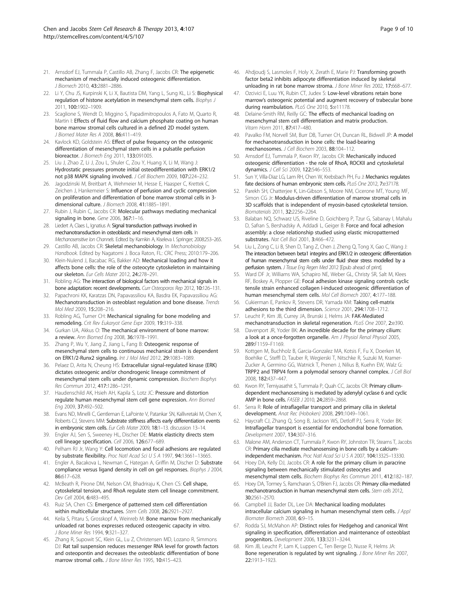- <span id="page-8-0"></span>21. Arnsdorf EJ, Tummala P, Castillo AB, Zhang F, Jacobs CR: The epigenetic mechanism of mechanically induced osteogenic differentiation. J Biomech 2010, 43:2881–2886.
- 22. Li Y, Chu JS, Kurpinski K, Li X, Bautista DM, Yang L, Sung KL, Li S; Biophysical regulation of histone acetylation in mesenchymal stem cells. Biophys J 2011, 100:1902–1909.
- 23. Scaglione S, Wendt D, Miggino S, Papadimitropoulos A, Fato M, Quarto R, Martin I: Effects of fluid flow and calcium phosphate coating on human bone marrow stromal cells cultured in a defined 2D model system. J Biomed Mater Res A 2008, 86:411–419.
- 24. Kavlock KD, Goldstein AS: Effect of pulse frequency on the osteogenic differentiation of mesenchymal stem cells in a pulsatile perfusion bioreactor. J Biomech Eng 2011, 133:091005.
- 25. Liu J, Zhao Z, Li J, Zou L, Shuler C, Zou Y, Huang X, Li M, Wang J: Hydrostatic pressures promote initial osteodifferentiation with ERK1/2 not p38 MAPK signaling involved. J Cell Biochem 2009, 107:224–232.
- 26. Jagodzinski M, Breitbart A, Wehmeier M, Hesse E, Haasper C, Krettek C, Zeichen J, Hankemeier S: Influence of perfusion and cyclic compression on proliferation and differentiation of bone marrow stromal cells in 3 dimensional culture. J Biomech 2008, 41:1885–1891.
- 27. Rubin J, Rubin C, Jacobs CR: Molecular pathways mediating mechanical signaling in bone. Gene 2006, 367:1–16.
- 28. Liedert A, Claes L, Ignatius A: Signal transduction pathways involved in mechanotransduction in osteoblastic and mesenchymal stem cells. In Mechanosensitive Ion Channels. Edited by Kamkin A, Kiseleva I. Springer; 2008:253–265.
- 29. Castillo AB, Jacobs CR: Skeletal mechanobiology. In Mechanobiology Handbook. Edited by Nagatomi J. Boca Raton, FL: CRC Press; 2010:179–206.
- 30. Klein-Nulend J, Bacabac RG, Bakker AD: Mechanical loading and how it affects bone cells: the role of the osteocyte cytoskeleton in maintaining our skeleton. Eur Cells Mater 2012, 24:278–291.
- 31. Robling AG: The interaction of biological factors with mechanical signals in bone adaptation: recent developments. Curr Osteoporos Rep 2012, 10:126-131.
- 32. Papachroni KK, Karatzas DN, Papavassiliou KA, Basdra EK, Papavassiliou AG: Mechanotransduction in osteoblast regulation and bone disease. Trends Mol Med 2009, 15:208–216.
- 33. Robling AG, Turner CH: Mechanical signaling for bone modeling and remodeling. Crit Rev Eukaryot Gene Expr 2009, 19:319–338.
- 34. Gurkan UA, Akkus O: The mechanical environment of bone marrow: a review. Ann Biomed Eng 2008, 36:1978–1991.
- 35. Zhang P, Wu Y, Jiang Z, Jiang L, Fang B: Osteogenic response of mesenchymal stem cells to continuous mechanical strain is dependent on ERK1/2-Runx2 signaling. Int J Mol Med 2012, 29:1083–1089.
- 36. Pelaez D, Arita N, Cheung HS: Extracellular signal-regulated kinase (ERK) dictates osteogenic and/or chondrogenic lineage commitment of mesenchymal stem cells under dynamic compression. Biochem Biophys Res Commun 2012, 417:1286–1291.
- 37. Haudenschild AK, Hsieh AH, Kapila S, Lotz JC: Pressure and distortion regulate human mesenchymal stem cell gene expression. Ann Biomed Eng 2009, 37:492–502.
- 38. Evans ND, Minelli C, Gentleman E, LaPointe V, Patankar SN, Kallivretaki M, Chen X, Roberts CJ, Stevens MM: Substrate stiffness affects early differentiation events in embryonic stem cells. Eur Cells Mater 2009, 18:1–13. discussion 13–14.
- 39. Engler AJ, Sen S, Sweeney HL, Discher DE: Matrix elasticity directs stem cell lineage specification. Cell 2006, 126:677–689.
- 40. Pelham RJ Jr, Wang Y: Cell locomotion and focal adhesions are regulated by substrate flexibility. Proc Natl Acad Sci U S A 1997, 94:13661-13665.
- 41. Engler A, Bacakova L, Newman C, Hategan A, Griffin M, Discher D: Substrate compliance versus ligand density in cell on gel responses. Biophys J 2004, 86:617–628.
- 42. McBeath R, Pirone DM, Nelson CM, Bhadriraju K, Chen CS: Cell shape, cytoskeletal tension, and RhoA regulate stem cell lineage commitment. Dev Cell 2004, 6:483–495.
- 43. Ruiz SA, Chen CS: Emergence of patterned stem cell differentiation within multicellular structures. Stem Cells 2008, 26:2921–2927.
- 44. Keila S, Pitaru S, Grosskopf A, Weinreb M: Bone marrow from mechanically unloaded rat bones expresses reduced osteogenic capacity in vitro. J Bone Miner Res 1994, 9:321–327.
- 45. Zhang R, Supowit SC, Klein GL, Lu Z, Christensen MD, Lozano R, Simmons DJ: Rat tail suspension reduces messenger RNA level for growth factors and osteopontin and decreases the osteoblastic differentiation of bone marrow stromal cells. J Bone Miner Res 1995, 10:415-423.
- 46. Ahdjoudj S, Lasmoles F, Holy X, Zerath E, Marie PJ: Transforming growth factor beta2 inhibits adipocyte differentiation induced by skeletal unloading in rat bone marrow stroma. J Bone Miner Res 2002, 17:668-677.
- 47. Ozcivici E, Luu YK, Rubin CT, Judex S: Low-level vibrations retain bone marrow's osteogenic potential and augment recovery of trabecular bone during reambulation. PLoS One 2010, 5:e11178.
- 48. Delaine-Smith RM, Reilly GC: The effects of mechanical loading on mesenchymal stem cell differentiation and matrix production. Vitam Horm 2011, 87:417–480.
- 49. Pavalko FM, Norvell SM, Burr DB, Turner CH, Duncan RL, Bidwell JP: A model for mechanotransduction in bone cells: the load-bearing mechanosomes. J Cell Biochem 2003, 88:104–112.
- 50. Arnsdorf EJ, Tummala P, Kwon RY, Jacobs CR: Mechanically induced osteogenic differentiation - the role of RhoA, ROCKII and cytoskeletal dynamics. J Cell Sci 2009, 122:546–553.
- 51. Sun Y, Villa-Diaz LG, Lam RH, Chen W, Krebsbach PH, Fu J: Mechanics regulates fate decisions of human embryonic stem cells. PLoS One 2012, 7:e37178.
- Parekh SH, Chatterjee K, Lin-Gibson S, Moore NM, Cicerone MT, Young MF, Simon CG Jr: Modulus-driven differentiation of marrow stromal cells in 3D scaffolds that is independent of myosin-based cytoskeletal tension. Biomaterials 2011, 32:2256–2264.
- 53. Balaban NQ, Schwarz US, Riveline D, Goichberg P, Tzur G, Sabanay I, Mahalu D, Safran S, Bershadsky A, Addadi L, Geiger B: Force and focal adhesion assembly: a close relationship studied using elastic micropatterned substrates. Nat Cell Biol 2001, 3:466-472.
- 54. Liu L, Zong C, Li B, Shen D, Tang Z, Chen J, Zheng Q, Tong X, Gao C, Wang J: The interaction between beta1 integrins and ERK1/2 in osteogenic differentiation of human mesenchymal stem cells under fluid shear stress modelled by a perfusion system. J Tissue Eng Regen Med 2012 [Epub ahead of print].
- 55. Ward DF Jr, Williams WA, Schapiro NE, Weber GL, Christy SR, Salt M, Klees RF, Boskey A, Plopper GE: Focal adhesion kinase signaling controls cyclic tensile strain enhanced collagen I-induced osteogenic differentiation of human mesenchymal stem cells. Mol Cell Biomech 2007, 4:177–188.
- Cukierman E, Pankov R, Stevens DR, Yamada KM: Taking cell-matrix adhesions to the third dimension. Science 2001, 294:1708–1712.
- 57. Leucht P, Kim JB, Currey JA, Brunski J, Helms JA: FAK-Mediated mechanotransduction in skeletal regeneration. PLoS One 2007, 2:e390.
- 58. Davenport JR, Yoder BK: An incredible decade for the primary cilium: a look at a once-forgotten organelle. Am J Physiol Renal Physiol 2005, 289:F1159–F1169.
- 59. Kottgen M, Buchholz B, Garcia-Gonzalez MA, Kotsis F, Fu X, Doerken M, Boehlke C, Steffl D, Tauber R, Wegierski T, Nitschke R, Suzuki M, Kramer-Zucker A, Germino GG, Watnick T, Prenen J, Nilius B, Kuehn EW, Walz G: TRPP2 and TRPV4 form a polymodal sensory channel complex. J Cell Biol 2008, 182:437–447.
- 60. Kwon RY, Temiyasathit S, Tummala P, Quah CC, Jacobs CR: Primary ciliumdependent mechanosensing is mediated by adenylyl cyclase 6 and cyclic AMP in bone cells. FASEB J 2010, 24:2859–2868.
- 61. Serra R: Role of intraflagellar transport and primary cilia in skeletal development. Anat Rec (Hoboken) 2008, 291:1049–1061.
- 62. Haycraft CJ, Zhang Q, Song B, Jackson WS, Detloff PJ, Serra R, Yoder BK: Intraflagellar transport is essential for endochondral bone formation. Development 2007, 134:307–316.
- 63. Malone AM, Anderson CT, Tummala P, Kwon RY, Johnston TR, Stearns T, Jacobs CR: Primary cilia mediate mechanosensing in bone cells by a calciumindependent mechanism. Proc Natl Acad Sci U S A 2007, 104:13325–13330.
- 64. Hoey DA, Kelly DJ, Jacobs CR: A role for the primary cilium in paracrine signaling between mechanically stimulated osteocytes and mesenchymal stem cells. Biochem Biophys Res Commun 2011, 412:182–187.
- 65. Hoey DA, Tormey S, Ramcharan S, O'Brien FJ, Jacobs CR: Primary cilia-mediated mechanotransduction in human mesenchymal stem cells. Stem cells 2012, 30:2561–2570.
- 66. Campbell JJ, Bader DL, Lee DA: Mechanical loading modulates intracellular calcium signaling in human mesenchymal stem cells. J Appl Biomater Biomech 2008, 6:9–15.
- 67. Rodda SJ, McMahon AP: Distinct roles for Hedgehog and canonical Wnt signaling in specification, differentiation and maintenance of osteoblast progenitors. Development 2006, 133:3231–3244.
- 68. Kim JB, Leucht P, Lam K, Luppen C, Ten Berge D, Nusse R, Helms JA: Bone regeneration is regulated by wnt signaling. J Bone Miner Res 2007, 22:1913–1923.